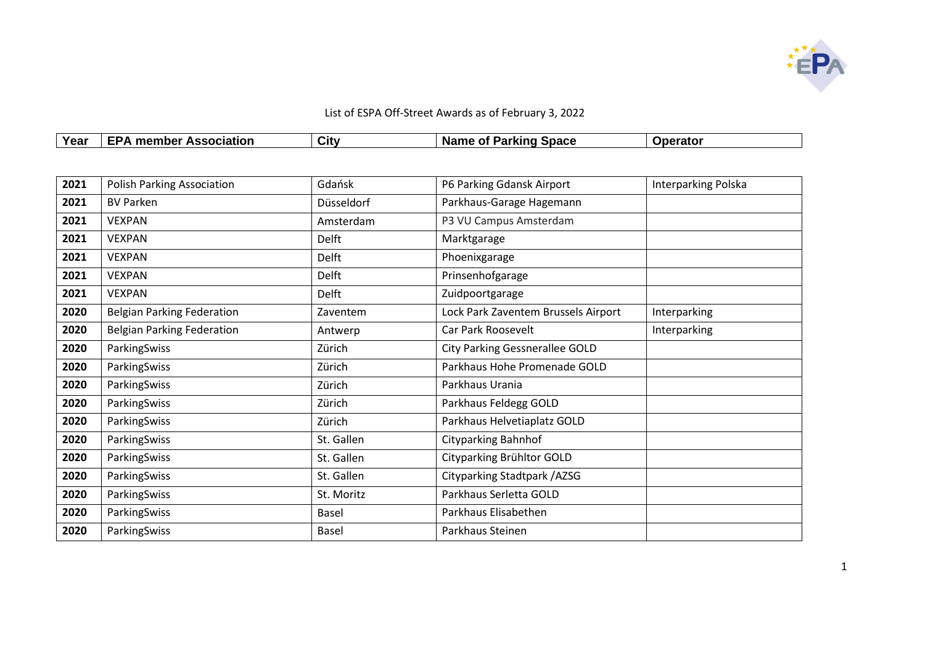

| Year | <b>Association</b><br>member<br>" ב | <b>City</b> | <sup>- P</sup> arking Space<br><b>Name</b><br>Ωt | erato |
|------|-------------------------------------|-------------|--------------------------------------------------|-------|

| 2021 | <b>Polish Parking Association</b> | Gdańsk       | P6 Parking Gdansk Airport             | Interparking Polska |
|------|-----------------------------------|--------------|---------------------------------------|---------------------|
| 2021 | <b>BV Parken</b>                  | Düsseldorf   | Parkhaus-Garage Hagemann              |                     |
| 2021 | <b>VEXPAN</b>                     | Amsterdam    | P3 VU Campus Amsterdam                |                     |
| 2021 | <b>VEXPAN</b>                     | Delft        | Marktgarage                           |                     |
| 2021 | <b>VEXPAN</b>                     | Delft        | Phoenixgarage                         |                     |
| 2021 | <b>VEXPAN</b>                     | Delft        | Prinsenhofgarage                      |                     |
| 2021 | <b>VEXPAN</b>                     | Delft        | Zuidpoortgarage                       |                     |
| 2020 | <b>Belgian Parking Federation</b> | Zaventem     | Lock Park Zaventem Brussels Airport   | Interparking        |
| 2020 | <b>Belgian Parking Federation</b> | Antwerp      | Car Park Roosevelt                    | Interparking        |
| 2020 | ParkingSwiss                      | Zürich       | <b>City Parking Gessnerallee GOLD</b> |                     |
| 2020 | ParkingSwiss                      | Zürich       | Parkhaus Hohe Promenade GOLD          |                     |
| 2020 | ParkingSwiss                      | Zürich       | Parkhaus Urania                       |                     |
| 2020 | ParkingSwiss                      | Zürich       | Parkhaus Feldegg GOLD                 |                     |
| 2020 | ParkingSwiss                      | Zürich       | Parkhaus Helvetiaplatz GOLD           |                     |
| 2020 | ParkingSwiss                      | St. Gallen   | <b>Cityparking Bahnhof</b>            |                     |
| 2020 | ParkingSwiss                      | St. Gallen   | Cityparking Brühltor GOLD             |                     |
| 2020 | ParkingSwiss                      | St. Gallen   | Cityparking Stadtpark / AZSG          |                     |
| 2020 | ParkingSwiss                      | St. Moritz   | Parkhaus Serletta GOLD                |                     |
| 2020 | ParkingSwiss                      | <b>Basel</b> | Parkhaus Elisabethen                  |                     |
| 2020 | ParkingSwiss                      | Basel        | Parkhaus Steinen                      |                     |
|      |                                   |              |                                       |                     |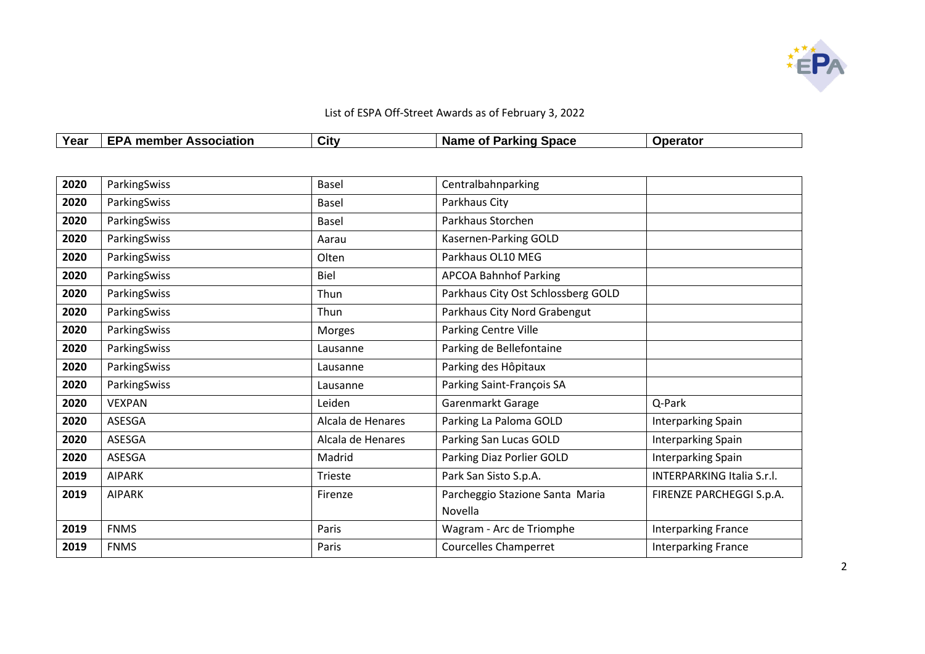

| Year | umber u<br>men<br><b>Association</b><br>. | $\sim$<br>utvٽ | <b>Space</b><br>Parking<br>- -- -<br>$\sim$<br><b>Na</b><br>me<br>ω | ∩rato∟ |
|------|-------------------------------------------|----------------|---------------------------------------------------------------------|--------|

| 2020 | ParkingSwiss  | Basel             | Centralbahnparking                 |                                   |
|------|---------------|-------------------|------------------------------------|-----------------------------------|
| 2020 | ParkingSwiss  | Basel             | Parkhaus City                      |                                   |
| 2020 | ParkingSwiss  | Basel             | Parkhaus Storchen                  |                                   |
| 2020 | ParkingSwiss  | Aarau             | Kasernen-Parking GOLD              |                                   |
| 2020 | ParkingSwiss  | Olten             | Parkhaus OL10 MEG                  |                                   |
| 2020 | ParkingSwiss  | <b>Biel</b>       | <b>APCOA Bahnhof Parking</b>       |                                   |
| 2020 | ParkingSwiss  | Thun              | Parkhaus City Ost Schlossberg GOLD |                                   |
| 2020 | ParkingSwiss  | Thun              | Parkhaus City Nord Grabengut       |                                   |
| 2020 | ParkingSwiss  | Morges            | Parking Centre Ville               |                                   |
| 2020 | ParkingSwiss  | Lausanne          | Parking de Bellefontaine           |                                   |
| 2020 | ParkingSwiss  | Lausanne          | Parking des Hôpitaux               |                                   |
| 2020 | ParkingSwiss  | Lausanne          | Parking Saint-François SA          |                                   |
| 2020 | <b>VEXPAN</b> | Leiden            | Garenmarkt Garage                  | Q-Park                            |
| 2020 | ASESGA        | Alcala de Henares | Parking La Paloma GOLD             | Interparking Spain                |
| 2020 | <b>ASESGA</b> | Alcala de Henares | Parking San Lucas GOLD             | Interparking Spain                |
| 2020 | ASESGA        | Madrid            | Parking Diaz Porlier GOLD          | Interparking Spain                |
| 2019 | <b>AIPARK</b> | Trieste           | Park San Sisto S.p.A.              | <b>INTERPARKING Italia S.r.l.</b> |
| 2019 | <b>AIPARK</b> | Firenze           | Parcheggio Stazione Santa Maria    | FIRENZE PARCHEGGI S.p.A.          |
|      |               |                   | Novella                            |                                   |
| 2019 | <b>FNMS</b>   | Paris             | Wagram - Arc de Triomphe           | <b>Interparking France</b>        |
| 2019 | <b>FNMS</b>   | Paris             | <b>Courcelles Champerret</b>       | Interparking France               |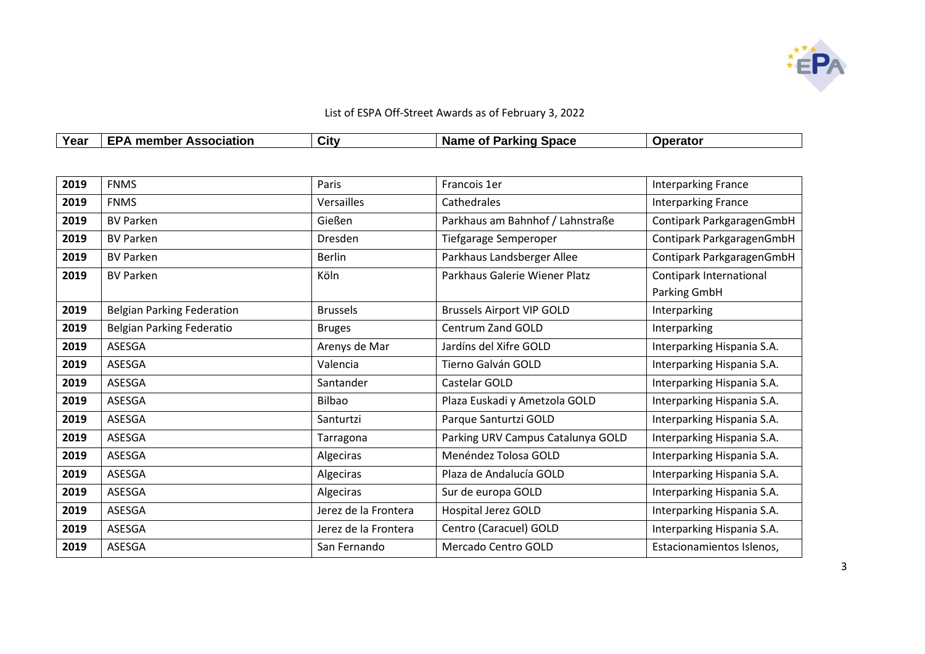

| List of ESPA Off-Street Awards as of February 3, 2022 |                               |      |                       |          |  |
|-------------------------------------------------------|-------------------------------|------|-----------------------|----------|--|
| Year                                                  | <b>EPA member Association</b> | City | Name of Parking Space | Operator |  |

| 2019 | <b>FNMS</b>                       | Paris                | Francois 1er                      | <b>Interparking France</b> |
|------|-----------------------------------|----------------------|-----------------------------------|----------------------------|
| 2019 | <b>FNMS</b>                       | Versailles           | Cathedrales                       | <b>Interparking France</b> |
| 2019 | <b>BV Parken</b>                  | Gießen               | Parkhaus am Bahnhof / Lahnstraße  | Contipark ParkgaragenGmbH  |
| 2019 | <b>BV Parken</b>                  | Dresden              | Tiefgarage Semperoper             | Contipark ParkgaragenGmbH  |
| 2019 | <b>BV Parken</b>                  | <b>Berlin</b>        | Parkhaus Landsberger Allee        | Contipark ParkgaragenGmbH  |
| 2019 | <b>BV Parken</b>                  | Köln                 | Parkhaus Galerie Wiener Platz     | Contipark International    |
|      |                                   |                      |                                   | Parking GmbH               |
| 2019 | <b>Belgian Parking Federation</b> | <b>Brussels</b>      | <b>Brussels Airport VIP GOLD</b>  | Interparking               |
| 2019 | Belgian Parking Federatio         | <b>Bruges</b>        | <b>Centrum Zand GOLD</b>          | Interparking               |
| 2019 | ASESGA                            | Arenys de Mar        | Jardíns del Xifre GOLD            | Interparking Hispania S.A. |
| 2019 | ASESGA                            | Valencia             | Tierno Galván GOLD                | Interparking Hispania S.A. |
| 2019 | ASESGA                            | Santander            | Castelar GOLD                     | Interparking Hispania S.A. |
| 2019 | ASESGA                            | <b>Bilbao</b>        | Plaza Euskadi y Ametzola GOLD     | Interparking Hispania S.A. |
| 2019 | ASESGA                            | Santurtzi            | Parque Santurtzi GOLD             | Interparking Hispania S.A. |
| 2019 | ASESGA                            | Tarragona            | Parking URV Campus Catalunya GOLD | Interparking Hispania S.A. |
| 2019 | ASESGA                            | Algeciras            | Menéndez Tolosa GOLD              | Interparking Hispania S.A. |
| 2019 | ASESGA                            | Algeciras            | Plaza de Andalucía GOLD           | Interparking Hispania S.A. |
| 2019 | ASESGA                            | Algeciras            | Sur de europa GOLD                | Interparking Hispania S.A. |
| 2019 | ASESGA                            | Jerez de la Frontera | <b>Hospital Jerez GOLD</b>        | Interparking Hispania S.A. |
| 2019 | ASESGA                            | Jerez de la Frontera | Centro (Caracuel) GOLD            | Interparking Hispania S.A. |
| 2019 | ASESGA                            | San Fernando         | Mercado Centro GOLD               | Estacionamientos Islenos,  |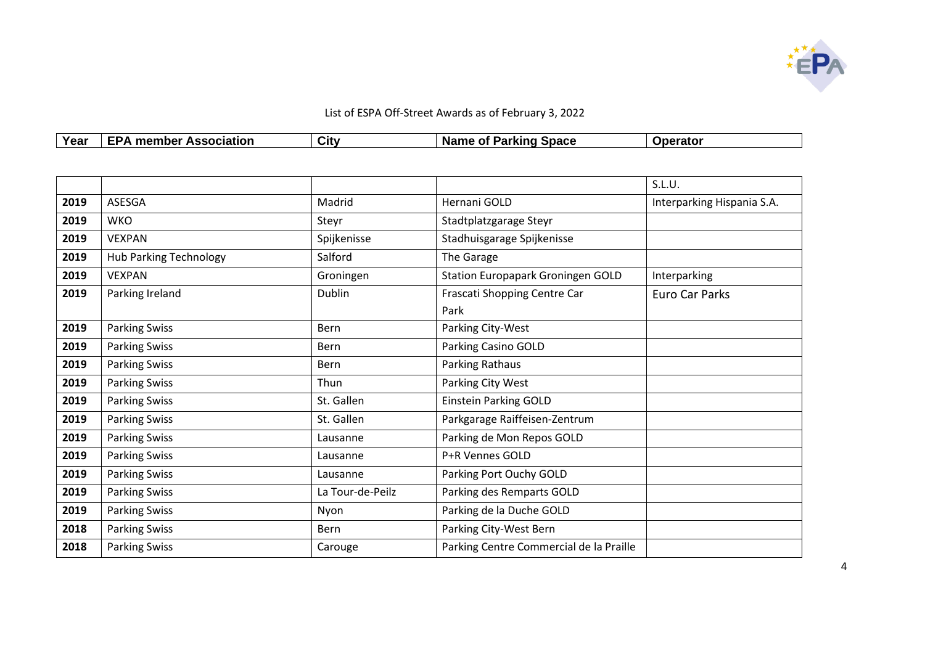

| <b>Voor</b><br>' Gal | <b>Association</b><br>umber :<br>men<br>. .<br>. . | $\sim$<br>Jit∨ | <b>Space</b><br>.<br>Parking<br>Ωt<br>name | <b>perato</b> |
|----------------------|----------------------------------------------------|----------------|--------------------------------------------|---------------|

|      |                               |                  |                                          | S.L.U.                     |
|------|-------------------------------|------------------|------------------------------------------|----------------------------|
| 2019 | ASESGA                        | Madrid           | Hernani GOLD                             | Interparking Hispania S.A. |
| 2019 | <b>WKO</b>                    | Steyr            | Stadtplatzgarage Steyr                   |                            |
| 2019 | <b>VEXPAN</b>                 | Spijkenisse      | Stadhuisgarage Spijkenisse               |                            |
| 2019 | <b>Hub Parking Technology</b> | Salford          | The Garage                               |                            |
| 2019 | <b>VEXPAN</b>                 | Groningen        | <b>Station Europapark Groningen GOLD</b> | Interparking               |
| 2019 | Parking Ireland               | Dublin           | Frascati Shopping Centre Car             | Euro Car Parks             |
|      |                               |                  | Park                                     |                            |
| 2019 | <b>Parking Swiss</b>          | Bern             | Parking City-West                        |                            |
| 2019 | <b>Parking Swiss</b>          | Bern             | Parking Casino GOLD                      |                            |
| 2019 | <b>Parking Swiss</b>          | Bern             | Parking Rathaus                          |                            |
| 2019 | <b>Parking Swiss</b>          | Thun             | Parking City West                        |                            |
| 2019 | <b>Parking Swiss</b>          | St. Gallen       | <b>Einstein Parking GOLD</b>             |                            |
| 2019 | <b>Parking Swiss</b>          | St. Gallen       | Parkgarage Raiffeisen-Zentrum            |                            |
| 2019 | <b>Parking Swiss</b>          | Lausanne         | Parking de Mon Repos GOLD                |                            |
| 2019 | <b>Parking Swiss</b>          | Lausanne         | P+R Vennes GOLD                          |                            |
| 2019 | <b>Parking Swiss</b>          | Lausanne         | Parking Port Ouchy GOLD                  |                            |
| 2019 | <b>Parking Swiss</b>          | La Tour-de-Peilz | Parking des Remparts GOLD                |                            |
| 2019 | <b>Parking Swiss</b>          | Nyon             | Parking de la Duche GOLD                 |                            |
| 2018 | <b>Parking Swiss</b>          | Bern             | Parking City-West Bern                   |                            |
| 2018 | <b>Parking Swiss</b>          | Carouge          | Parking Centre Commercial de la Praille  |                            |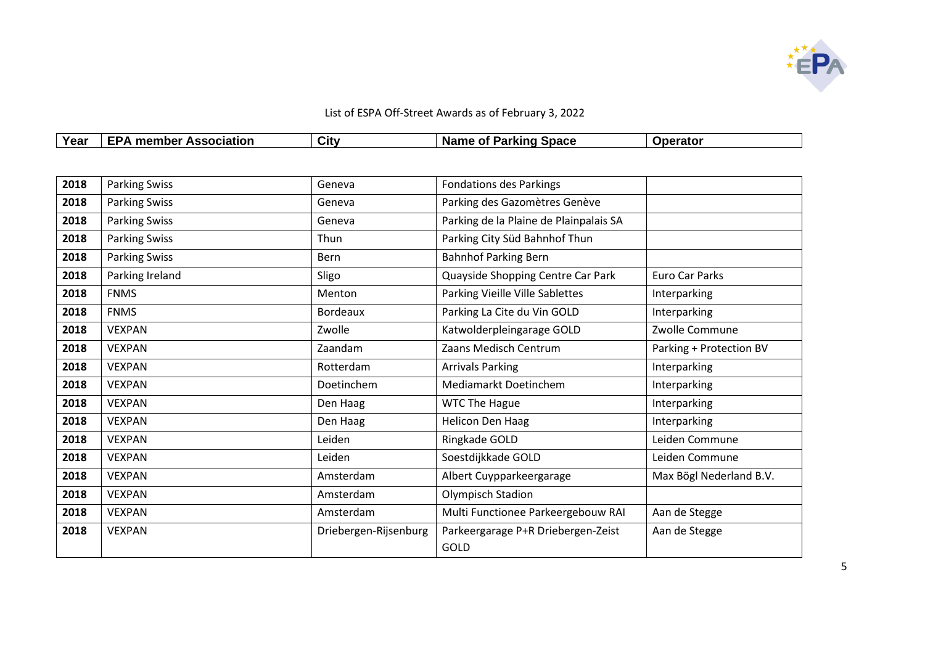

| Year<br>ו סט | $\lrcorner$ member<br><b>Association</b><br>. .<br>- - | City | <b>Space</b><br>א מוזואת<br>$\sim$ Parkin.<br>. Nar<br>ne<br>ω |  |
|--------------|--------------------------------------------------------|------|----------------------------------------------------------------|--|

| 2018 | <b>Parking Swiss</b> | Geneva                | <b>Fondations des Parkings</b>         |                         |
|------|----------------------|-----------------------|----------------------------------------|-------------------------|
| 2018 | <b>Parking Swiss</b> | Geneva                | Parking des Gazomètres Genève          |                         |
| 2018 | <b>Parking Swiss</b> | Geneva                | Parking de la Plaine de Plainpalais SA |                         |
| 2018 | <b>Parking Swiss</b> | <b>Thun</b>           | Parking City Süd Bahnhof Thun          |                         |
| 2018 | <b>Parking Swiss</b> | Bern                  | <b>Bahnhof Parking Bern</b>            |                         |
| 2018 | Parking Ireland      | Sligo                 | Quayside Shopping Centre Car Park      | Euro Car Parks          |
| 2018 | <b>FNMS</b>          | Menton                | Parking Vieille Ville Sablettes        | Interparking            |
| 2018 | <b>FNMS</b>          | <b>Bordeaux</b>       | Parking La Cite du Vin GOLD            | Interparking            |
| 2018 | <b>VEXPAN</b>        | Zwolle                | Katwolderpleingarage GOLD              | Zwolle Commune          |
| 2018 | <b>VEXPAN</b>        | Zaandam               | Zaans Medisch Centrum                  | Parking + Protection BV |
| 2018 | <b>VEXPAN</b>        | Rotterdam             | <b>Arrivals Parking</b>                | Interparking            |
| 2018 | <b>VEXPAN</b>        | Doetinchem            | Mediamarkt Doetinchem                  | Interparking            |
| 2018 | <b>VEXPAN</b>        | Den Haag              | <b>WTC The Hague</b>                   | Interparking            |
| 2018 | <b>VEXPAN</b>        | Den Haag              | <b>Helicon Den Haag</b>                | Interparking            |
| 2018 | <b>VEXPAN</b>        | Leiden                | Ringkade GOLD                          | Leiden Commune          |
| 2018 | <b>VEXPAN</b>        | Leiden                | Soestdijkkade GOLD                     | Leiden Commune          |
| 2018 | <b>VEXPAN</b>        | Amsterdam             | Albert Cuypparkeergarage               | Max Bögl Nederland B.V. |
| 2018 | <b>VEXPAN</b>        | Amsterdam             | Olympisch Stadion                      |                         |
| 2018 | <b>VEXPAN</b>        | Amsterdam             | Multi Functionee Parkeergebouw RAI     | Aan de Stegge           |
| 2018 | <b>VEXPAN</b>        | Driebergen-Rijsenburg | Parkeergarage P+R Driebergen-Zeist     | Aan de Stegge           |
|      |                      |                       | GOLD                                   |                         |
|      |                      |                       |                                        |                         |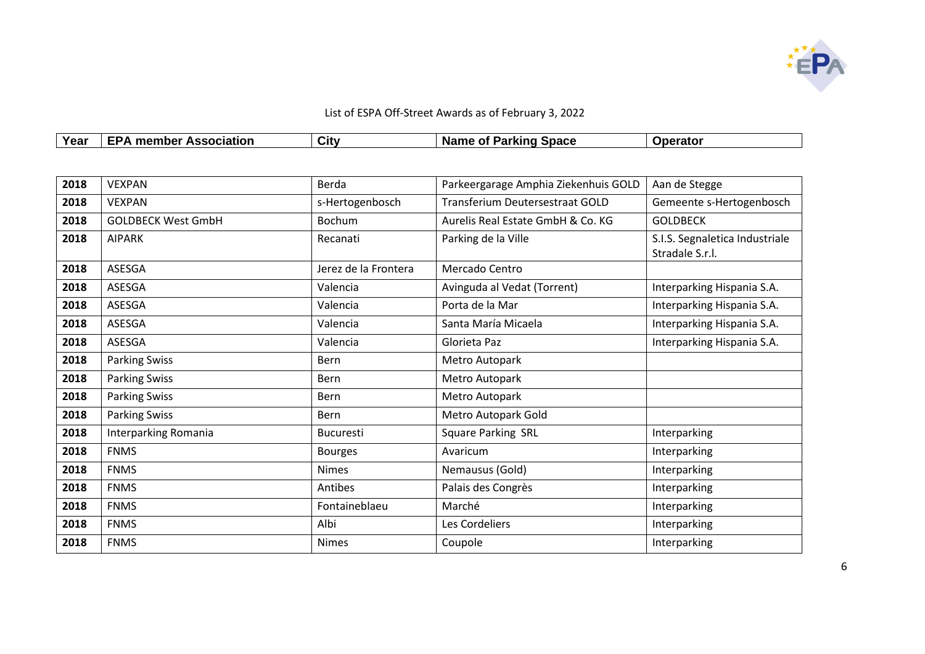

| Voor<br>l car | <b>Association</b><br>ember.<br>mer | City | <b>Space</b><br>where<br>$\sim$<br>יפטי<br>name<br>ω<br>'al NII I | $-$<br>ualu. |
|---------------|-------------------------------------|------|-------------------------------------------------------------------|--------------|

| 2018 | <b>VEXPAN</b>             | Berda                | Parkeergarage Amphia Ziekenhuis GOLD | Aan de Stegge                                     |
|------|---------------------------|----------------------|--------------------------------------|---------------------------------------------------|
| 2018 | <b>VEXPAN</b>             | s-Hertogenbosch      | Transferium Deutersestraat GOLD      | Gemeente s-Hertogenbosch                          |
| 2018 | <b>GOLDBECK West GmbH</b> | <b>Bochum</b>        | Aurelis Real Estate GmbH & Co. KG    | <b>GOLDBECK</b>                                   |
| 2018 | <b>AIPARK</b>             | Recanati             | Parking de la Ville                  | S.I.S. Segnaletica Industriale<br>Stradale S.r.l. |
| 2018 | ASESGA                    | Jerez de la Frontera | Mercado Centro                       |                                                   |
| 2018 | ASESGA                    | Valencia             | Avinguda al Vedat (Torrent)          | Interparking Hispania S.A.                        |
| 2018 | ASESGA                    | Valencia             | Porta de la Mar                      | Interparking Hispania S.A.                        |
| 2018 | ASESGA                    | Valencia             | Santa María Micaela                  | Interparking Hispania S.A.                        |
| 2018 | ASESGA                    | Valencia             | Glorieta Paz                         | Interparking Hispania S.A.                        |
| 2018 | <b>Parking Swiss</b>      | <b>Bern</b>          | Metro Autopark                       |                                                   |
| 2018 | <b>Parking Swiss</b>      | Bern                 | Metro Autopark                       |                                                   |
| 2018 | <b>Parking Swiss</b>      | <b>Bern</b>          | Metro Autopark                       |                                                   |
| 2018 | <b>Parking Swiss</b>      | <b>Bern</b>          | Metro Autopark Gold                  |                                                   |
| 2018 | Interparking Romania      | <b>Bucuresti</b>     | <b>Square Parking SRL</b>            | Interparking                                      |
| 2018 | <b>FNMS</b>               | <b>Bourges</b>       | Avaricum                             | Interparking                                      |
| 2018 | <b>FNMS</b>               | <b>Nimes</b>         | Nemausus (Gold)                      | Interparking                                      |
| 2018 | <b>FNMS</b>               | Antibes              | Palais des Congrès                   | Interparking                                      |
| 2018 | <b>FNMS</b>               | Fontaineblaeu        | Marché                               | Interparking                                      |
| 2018 | <b>FNMS</b>               | Albi                 | Les Cordeliers                       | Interparking                                      |
| 2018 | <b>FNMS</b>               | <b>Nimes</b>         | Coupole                              | Interparking                                      |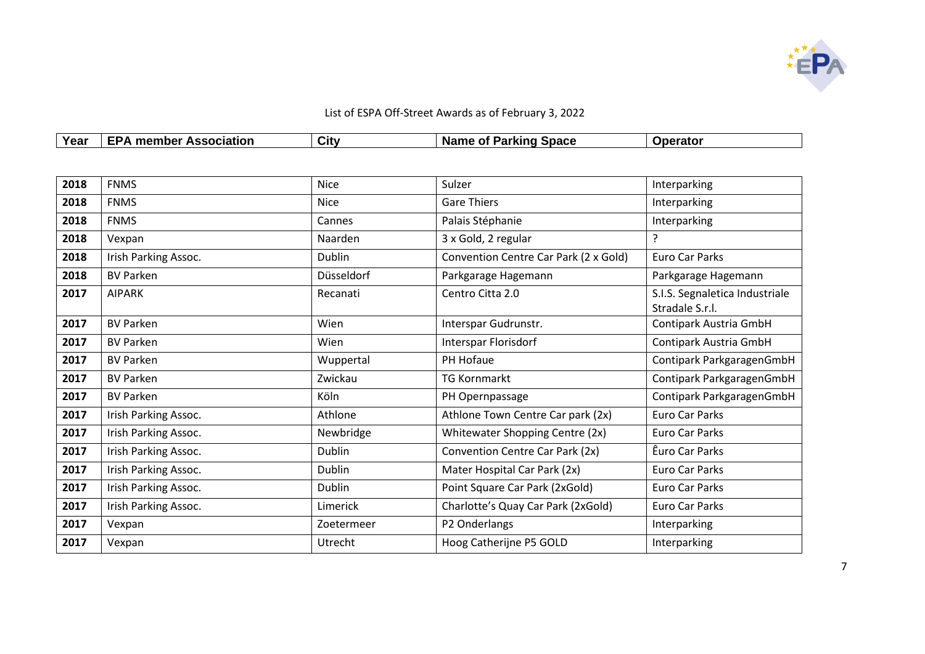

| <b>Year</b><br>י טעו | sociation<br>-----<br>- - -<br>nbe '<br>men | City | <b>Space</b><br>. Nam⁄<br>. <i>.</i><br>Ωt<br>kind<br>IJs.<br>. . | $\cdots$ |
|----------------------|---------------------------------------------|------|-------------------------------------------------------------------|----------|

| 2018 | <b>FNMS</b>          | <b>Nice</b>       | Sulzer                                | Interparking                                      |
|------|----------------------|-------------------|---------------------------------------|---------------------------------------------------|
| 2018 | <b>FNMS</b>          | <b>Nice</b>       | <b>Gare Thiers</b>                    | Interparking                                      |
| 2018 | <b>FNMS</b>          | Cannes            | Palais Stéphanie                      | Interparking                                      |
| 2018 | Vexpan               | Naarden           | 3 x Gold, 2 regular                   | ?                                                 |
| 2018 | Irish Parking Assoc. | <b>Dublin</b>     | Convention Centre Car Park (2 x Gold) | Euro Car Parks                                    |
| 2018 | <b>BV Parken</b>     | <b>Düsseldorf</b> | Parkgarage Hagemann                   | Parkgarage Hagemann                               |
| 2017 | <b>AIPARK</b>        | Recanati          | Centro Citta 2.0                      | S.I.S. Segnaletica Industriale<br>Stradale S.r.l. |
| 2017 | <b>BV Parken</b>     | Wien              | Interspar Gudrunstr.                  | Contipark Austria GmbH                            |
| 2017 | <b>BV Parken</b>     | Wien              | Interspar Florisdorf                  | Contipark Austria GmbH                            |
| 2017 | <b>BV Parken</b>     | Wuppertal         | PH Hofaue                             | Contipark ParkgaragenGmbH                         |
| 2017 | <b>BV Parken</b>     | Zwickau           | <b>TG Kornmarkt</b>                   | Contipark ParkgaragenGmbH                         |
| 2017 | <b>BV Parken</b>     | Köln              | PH Opernpassage                       | Contipark ParkgaragenGmbH                         |
| 2017 | Irish Parking Assoc. | Athlone           | Athlone Town Centre Car park (2x)     | Euro Car Parks                                    |
| 2017 | Irish Parking Assoc. | Newbridge         | Whitewater Shopping Centre (2x)       | <b>Euro Car Parks</b>                             |
| 2017 | Irish Parking Assoc. | <b>Dublin</b>     | Convention Centre Car Park (2x)       | Êuro Car Parks                                    |
| 2017 | Irish Parking Assoc. | <b>Dublin</b>     | Mater Hospital Car Park (2x)          | Euro Car Parks                                    |
| 2017 | Irish Parking Assoc. | <b>Dublin</b>     | Point Square Car Park (2xGold)        | Euro Car Parks                                    |
| 2017 | Irish Parking Assoc. | Limerick          | Charlotte's Quay Car Park (2xGold)    | Euro Car Parks                                    |
| 2017 | Vexpan               | Zoetermeer        | P2 Onderlangs                         | Interparking                                      |
| 2017 | Vexpan               | Utrecht           | Hoog Catherijne P5 GOLD               | Interparking                                      |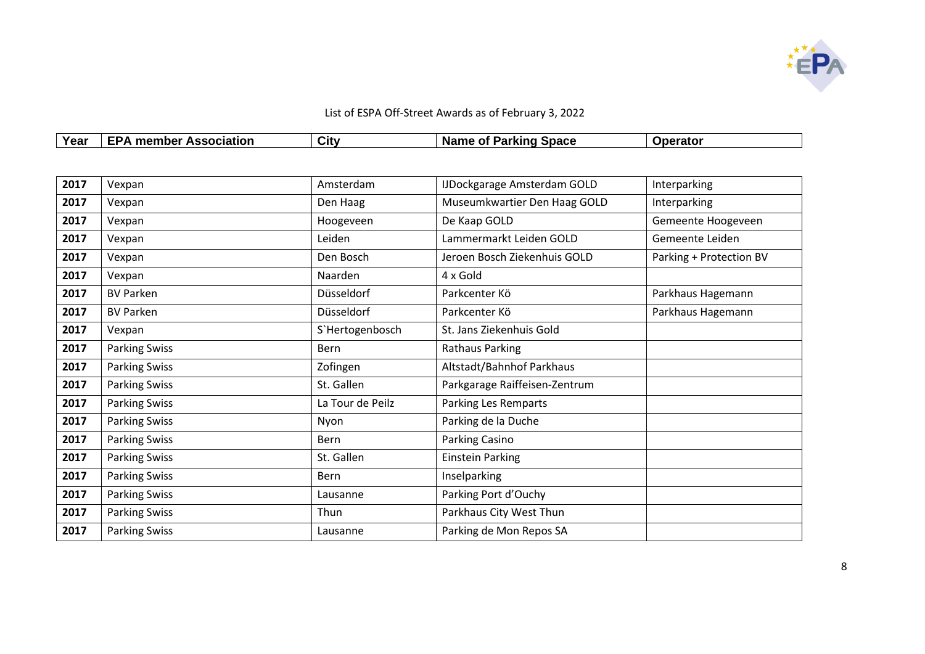

| Year | <b>Association</b><br>$\cdot$ member<br>י ש | City | Space<br>arking<br>Name<br>⊹ot<br>. | erator |
|------|---------------------------------------------|------|-------------------------------------|--------|

| 2017 | Vexpan               | Amsterdam         | <b>IJDockgarage Amsterdam GOLD</b> | Interparking            |
|------|----------------------|-------------------|------------------------------------|-------------------------|
| 2017 | Vexpan               | Den Haag          | Museumkwartier Den Haag GOLD       | Interparking            |
| 2017 | Vexpan               | Hoogeveen         | De Kaap GOLD                       | Gemeente Hoogeveen      |
| 2017 | Vexpan               | Leiden            | Lammermarkt Leiden GOLD            | Gemeente Leiden         |
| 2017 | Vexpan               | Den Bosch         | Jeroen Bosch Ziekenhuis GOLD       | Parking + Protection BV |
| 2017 | Vexpan               | Naarden           | 4 x Gold                           |                         |
| 2017 | <b>BV Parken</b>     | <b>Düsseldorf</b> | Parkcenter Kö                      | Parkhaus Hagemann       |
| 2017 | <b>BV Parken</b>     | Düsseldorf        | Parkcenter Kö                      | Parkhaus Hagemann       |
| 2017 | Vexpan               | S'Hertogenbosch   | St. Jans Ziekenhuis Gold           |                         |
| 2017 | <b>Parking Swiss</b> | Bern              | <b>Rathaus Parking</b>             |                         |
| 2017 | <b>Parking Swiss</b> | Zofingen          | Altstadt/Bahnhof Parkhaus          |                         |
| 2017 | <b>Parking Swiss</b> | St. Gallen        | Parkgarage Raiffeisen-Zentrum      |                         |
| 2017 | <b>Parking Swiss</b> | La Tour de Peilz  | Parking Les Remparts               |                         |
| 2017 | <b>Parking Swiss</b> | Nyon              | Parking de la Duche                |                         |
| 2017 | <b>Parking Swiss</b> | Bern              | Parking Casino                     |                         |
| 2017 | <b>Parking Swiss</b> | St. Gallen        | <b>Einstein Parking</b>            |                         |
| 2017 | <b>Parking Swiss</b> | <b>Bern</b>       | Inselparking                       |                         |
| 2017 | <b>Parking Swiss</b> | Lausanne          | Parking Port d'Ouchy               |                         |
| 2017 | <b>Parking Swiss</b> | Thun              | Parkhaus City West Thun            |                         |
| 2017 | <b>Parking Swiss</b> | Lausanne          | Parking de Mon Repos SA            |                         |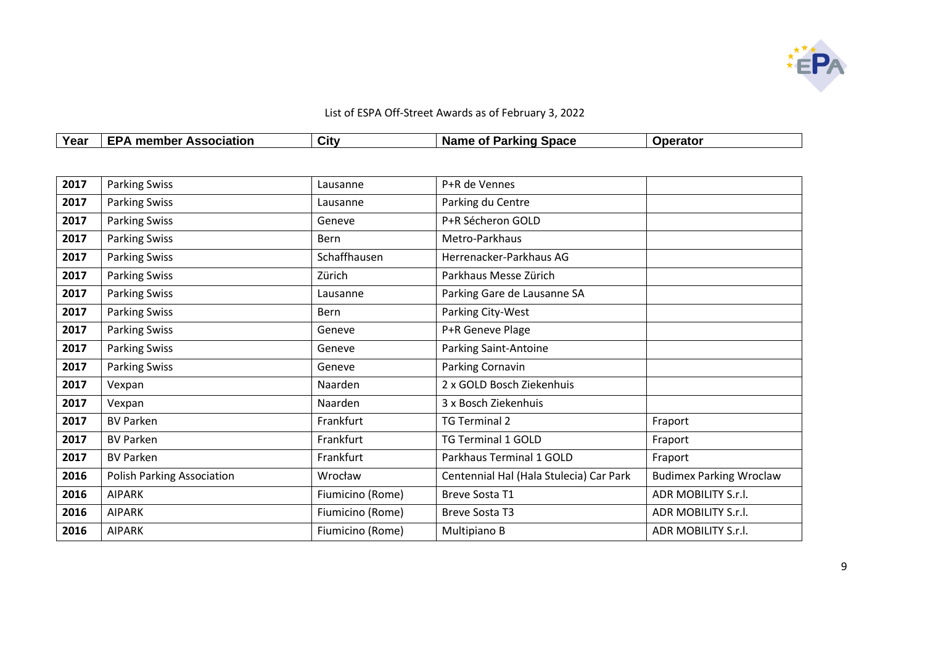

| Year | <b>Association</b><br>.nber<br>men | City | _arisine<br><b>Space</b><br><b>Name</b><br>ОT<br>arkınc | erator |
|------|------------------------------------|------|---------------------------------------------------------|--------|

| 2017 | <b>Parking Swiss</b>              | Lausanne         | P+R de Vennes                           |                                |
|------|-----------------------------------|------------------|-----------------------------------------|--------------------------------|
| 2017 | <b>Parking Swiss</b>              | Lausanne         | Parking du Centre                       |                                |
| 2017 | <b>Parking Swiss</b>              | Geneve           | P+R Sécheron GOLD                       |                                |
| 2017 | <b>Parking Swiss</b>              | Bern             | Metro-Parkhaus                          |                                |
| 2017 | <b>Parking Swiss</b>              | Schaffhausen     | Herrenacker-Parkhaus AG                 |                                |
| 2017 | <b>Parking Swiss</b>              | Zürich           | Parkhaus Messe Zürich                   |                                |
| 2017 | <b>Parking Swiss</b>              | Lausanne         | Parking Gare de Lausanne SA             |                                |
| 2017 | <b>Parking Swiss</b>              | <b>Bern</b>      | Parking City-West                       |                                |
| 2017 | <b>Parking Swiss</b>              | Geneve           | P+R Geneve Plage                        |                                |
| 2017 | <b>Parking Swiss</b>              | Geneve           | <b>Parking Saint-Antoine</b>            |                                |
| 2017 | <b>Parking Swiss</b>              | Geneve           | Parking Cornavin                        |                                |
| 2017 | Vexpan                            | Naarden          | 2 x GOLD Bosch Ziekenhuis               |                                |
| 2017 | Vexpan                            | Naarden          | 3 x Bosch Ziekenhuis                    |                                |
| 2017 | <b>BV Parken</b>                  | Frankfurt        | <b>TG Terminal 2</b>                    | Fraport                        |
| 2017 | <b>BV Parken</b>                  | Frankfurt        | <b>TG Terminal 1 GOLD</b>               | Fraport                        |
| 2017 | <b>BV Parken</b>                  | Frankfurt        | Parkhaus Terminal 1 GOLD                | Fraport                        |
| 2016 | <b>Polish Parking Association</b> | Wrocław          | Centennial Hal (Hala Stulecia) Car Park | <b>Budimex Parking Wroclaw</b> |
| 2016 | <b>AIPARK</b>                     | Fiumicino (Rome) | Breve Sosta T1                          | ADR MOBILITY S.r.l.            |
| 2016 | <b>AIPARK</b>                     | Fiumicino (Rome) | <b>Breve Sosta T3</b>                   | ADR MOBILITY S.r.l.            |
| 2016 | <b>AIPARK</b>                     | Fiumicino (Rome) | Multipiano B                            | ADR MOBILITY S.r.l.            |
|      |                                   |                  |                                         |                                |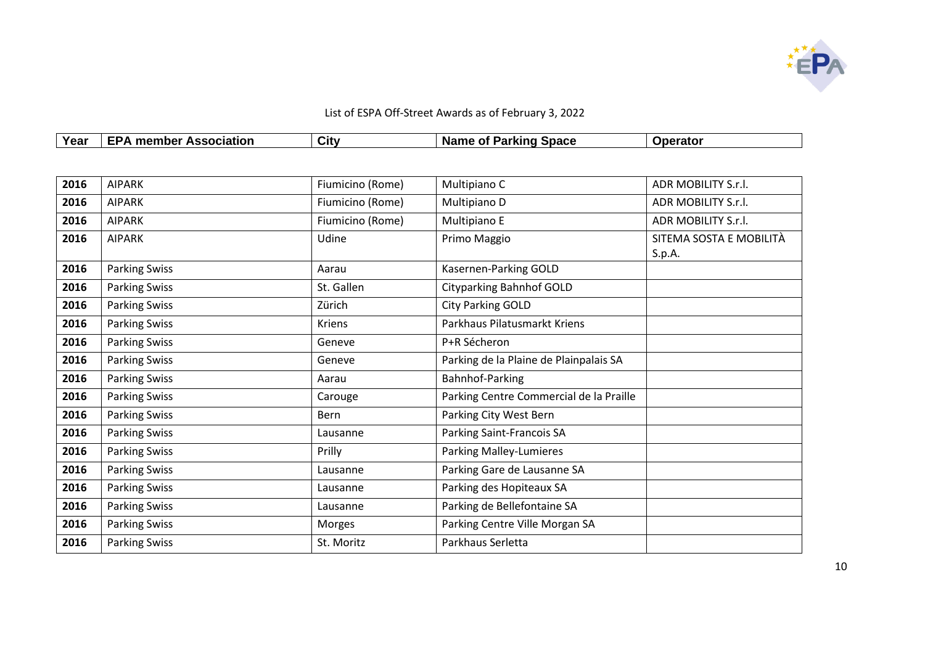

|      | List of ESPA Off-Street Awards as of February 3, 2022 |      |                              |                 |  |
|------|-------------------------------------------------------|------|------------------------------|-----------------|--|
| Year | <b>EPA member Association</b>                         | City | <b>Name of Parking Space</b> | <b>Operator</b> |  |

| 2016 | <b>AIPARK</b>        | Fiumicino (Rome) | Multipiano C                            | ADR MOBILITY S.r.l.     |
|------|----------------------|------------------|-----------------------------------------|-------------------------|
| 2016 | <b>AIPARK</b>        | Fiumicino (Rome) | Multipiano D                            | ADR MOBILITY S.r.l.     |
| 2016 | <b>AIPARK</b>        | Fiumicino (Rome) | Multipiano E                            | ADR MOBILITY S.r.l.     |
| 2016 | <b>AIPARK</b>        | Udine            | Primo Maggio                            | SITEMA SOSTA E MOBILITÀ |
|      |                      |                  |                                         | S.p.A.                  |
| 2016 | <b>Parking Swiss</b> | Aarau            | Kasernen-Parking GOLD                   |                         |
| 2016 | <b>Parking Swiss</b> | St. Gallen       | <b>Cityparking Bahnhof GOLD</b>         |                         |
| 2016 | <b>Parking Swiss</b> | Zürich           | <b>City Parking GOLD</b>                |                         |
| 2016 | <b>Parking Swiss</b> | <b>Kriens</b>    | Parkhaus Pilatusmarkt Kriens            |                         |
| 2016 | <b>Parking Swiss</b> | Geneve           | P+R Sécheron                            |                         |
| 2016 | <b>Parking Swiss</b> | Geneve           | Parking de la Plaine de Plainpalais SA  |                         |
| 2016 | <b>Parking Swiss</b> | Aarau            | Bahnhof-Parking                         |                         |
| 2016 | <b>Parking Swiss</b> | Carouge          | Parking Centre Commercial de la Praille |                         |
| 2016 | <b>Parking Swiss</b> | Bern             | Parking City West Bern                  |                         |
| 2016 | <b>Parking Swiss</b> | Lausanne         | Parking Saint-Francois SA               |                         |
| 2016 | <b>Parking Swiss</b> | Prilly           | Parking Malley-Lumieres                 |                         |
| 2016 | <b>Parking Swiss</b> | Lausanne         | Parking Gare de Lausanne SA             |                         |
| 2016 | <b>Parking Swiss</b> | Lausanne         | Parking des Hopiteaux SA                |                         |
| 2016 | <b>Parking Swiss</b> | Lausanne         | Parking de Bellefontaine SA             |                         |
| 2016 | <b>Parking Swiss</b> | Morges           | Parking Centre Ville Morgan SA          |                         |
| 2016 | <b>Parking Swiss</b> | St. Moritz       | Parkhaus Serletta                       |                         |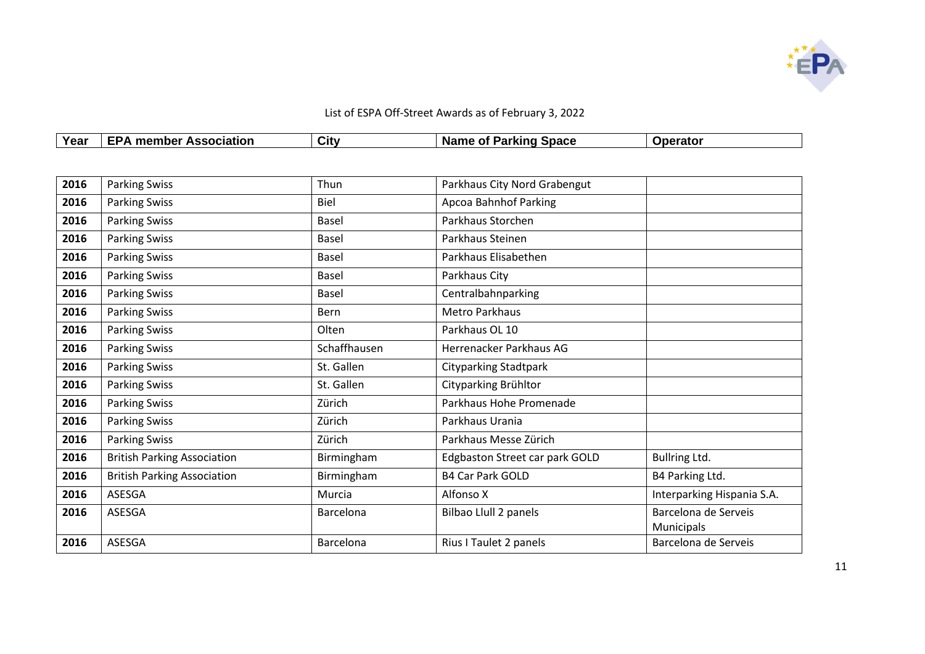

| List of ESPA Off-Street Awards as of February 3, 2022 |                               |      |                       |                 |  |
|-------------------------------------------------------|-------------------------------|------|-----------------------|-----------------|--|
| Year                                                  | <b>EPA member Association</b> | City | Name of Parking Space | <b>Operator</b> |  |

| 2016 | <b>Parking Swiss</b>               | Thun         | Parkhaus City Nord Grabengut   |                                           |
|------|------------------------------------|--------------|--------------------------------|-------------------------------------------|
| 2016 | <b>Parking Swiss</b>               | <b>Biel</b>  | <b>Apcoa Bahnhof Parking</b>   |                                           |
| 2016 | <b>Parking Swiss</b>               | Basel        | Parkhaus Storchen              |                                           |
| 2016 | <b>Parking Swiss</b>               | <b>Basel</b> | Parkhaus Steinen               |                                           |
| 2016 | <b>Parking Swiss</b>               | Basel        | Parkhaus Elisabethen           |                                           |
| 2016 | <b>Parking Swiss</b>               | Basel        | Parkhaus City                  |                                           |
| 2016 | <b>Parking Swiss</b>               | Basel        | Centralbahnparking             |                                           |
| 2016 | <b>Parking Swiss</b>               | Bern         | Metro Parkhaus                 |                                           |
| 2016 | <b>Parking Swiss</b>               | Olten        | Parkhaus OL 10                 |                                           |
| 2016 | <b>Parking Swiss</b>               | Schaffhausen | Herrenacker Parkhaus AG        |                                           |
| 2016 | <b>Parking Swiss</b>               | St. Gallen   | <b>Cityparking Stadtpark</b>   |                                           |
| 2016 | <b>Parking Swiss</b>               | St. Gallen   | Cityparking Brühltor           |                                           |
| 2016 | <b>Parking Swiss</b>               | Zürich       | Parkhaus Hohe Promenade        |                                           |
| 2016 | <b>Parking Swiss</b>               | Zürich       | Parkhaus Urania                |                                           |
| 2016 | <b>Parking Swiss</b>               | Zürich       | Parkhaus Messe Zürich          |                                           |
| 2016 | <b>British Parking Association</b> | Birmingham   | Edgbaston Street car park GOLD | Bullring Ltd.                             |
| 2016 | <b>British Parking Association</b> | Birmingham   | <b>B4 Car Park GOLD</b>        | B4 Parking Ltd.                           |
| 2016 | ASESGA                             | Murcia       | Alfonso X                      | Interparking Hispania S.A.                |
| 2016 | ASESGA                             | Barcelona    | Bilbao Llull 2 panels          | Barcelona de Serveis<br><b>Municipals</b> |
| 2016 | ASESGA                             | Barcelona    | Rius I Taulet 2 panels         | Barcelona de Serveis                      |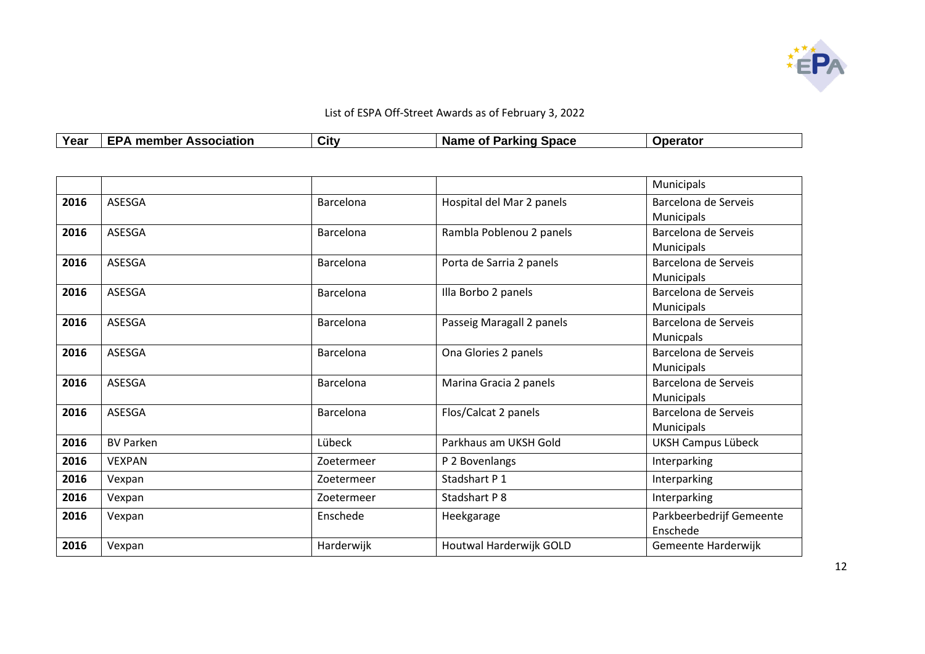

| Year | -----<br>--------<br><b>ssociation</b><br>npe<br><i><b>ILC</b></i><br>$\sim$<br>. .<br><br>$\sim$ $\sim$ | $\sim$<br>City | <b>Space</b><br>O1<br><b>Name</b><br>$\sim$<br>AIIIV<br>а | A |
|------|----------------------------------------------------------------------------------------------------------|----------------|-----------------------------------------------------------|---|

|      |                  |            |                           | Municipals               |
|------|------------------|------------|---------------------------|--------------------------|
| 2016 | ASESGA           | Barcelona  | Hospital del Mar 2 panels | Barcelona de Serveis     |
|      |                  |            |                           | Municipals               |
| 2016 | ASESGA           | Barcelona  | Rambla Poblenou 2 panels  | Barcelona de Serveis     |
|      |                  |            |                           | <b>Municipals</b>        |
| 2016 | ASESGA           | Barcelona  | Porta de Sarria 2 panels  | Barcelona de Serveis     |
|      |                  |            |                           | Municipals               |
| 2016 | <b>ASESGA</b>    | Barcelona  | Illa Borbo 2 panels       | Barcelona de Serveis     |
|      |                  |            |                           | Municipals               |
| 2016 | <b>ASESGA</b>    | Barcelona  | Passeig Maragall 2 panels | Barcelona de Serveis     |
|      |                  |            |                           | Municpals                |
| 2016 | <b>ASESGA</b>    | Barcelona  | Ona Glories 2 panels      | Barcelona de Serveis     |
|      |                  |            |                           | Municipals               |
| 2016 | <b>ASESGA</b>    | Barcelona  | Marina Gracia 2 panels    | Barcelona de Serveis     |
|      |                  |            |                           | Municipals               |
| 2016 | ASESGA           | Barcelona  | Flos/Calcat 2 panels      | Barcelona de Serveis     |
|      |                  |            |                           | Municipals               |
| 2016 | <b>BV Parken</b> | Lübeck     | Parkhaus am UKSH Gold     | UKSH Campus Lübeck       |
| 2016 | <b>VEXPAN</b>    | Zoetermeer | P 2 Bovenlangs            | Interparking             |
| 2016 | Vexpan           | Zoetermeer | Stadshart P 1             | Interparking             |
| 2016 | Vexpan           | Zoetermeer | Stadshart P 8             | Interparking             |
| 2016 | Vexpan           | Enschede   | Heekgarage                | Parkbeerbedrijf Gemeente |
|      |                  |            |                           | Enschede                 |
| 2016 | Vexpan           | Harderwijk | Houtwal Harderwijk GOLD   | Gemeente Harderwijk      |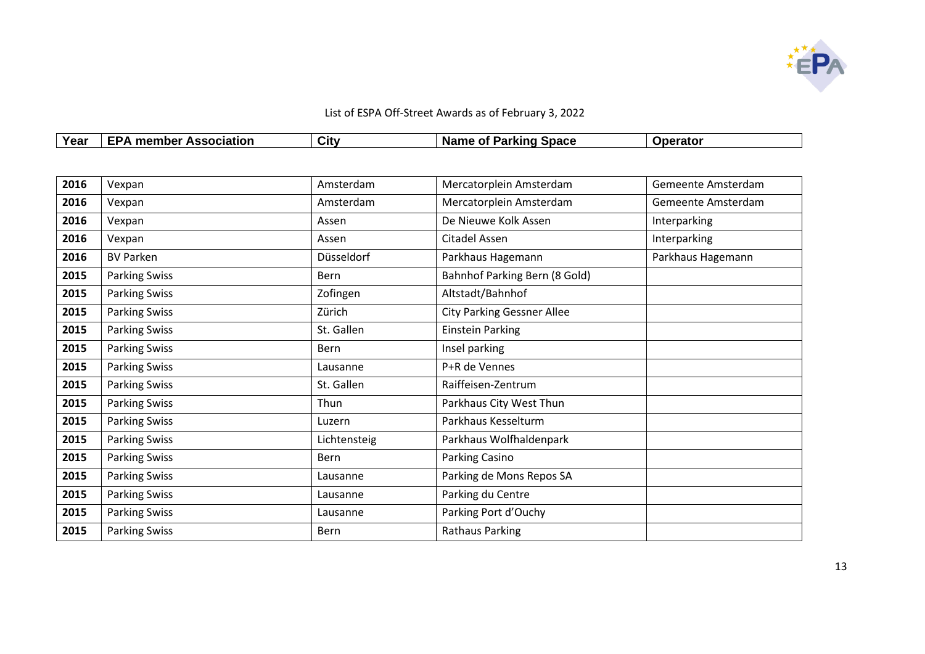

|      | List of ESPA Off-Street Awards as of February 3, 2022 |      |                       |                 |  |  |
|------|-------------------------------------------------------|------|-----------------------|-----------------|--|--|
| Year | <b>EPA member Association</b>                         | City | Name of Parking Space | <b>Operator</b> |  |  |

| 2016 | Vexpan               | Amsterdam    | Mercatorplein Amsterdam           | Gemeente Amsterdam |
|------|----------------------|--------------|-----------------------------------|--------------------|
| 2016 | Vexpan               | Amsterdam    | Mercatorplein Amsterdam           | Gemeente Amsterdam |
| 2016 | Vexpan               | Assen        | De Nieuwe Kolk Assen              | Interparking       |
| 2016 | Vexpan               | Assen        | Citadel Assen                     | Interparking       |
| 2016 | <b>BV Parken</b>     | Düsseldorf   | Parkhaus Hagemann                 | Parkhaus Hagemann  |
| 2015 | <b>Parking Swiss</b> | <b>Bern</b>  | Bahnhof Parking Bern (8 Gold)     |                    |
| 2015 | <b>Parking Swiss</b> | Zofingen     | Altstadt/Bahnhof                  |                    |
| 2015 | <b>Parking Swiss</b> | Zürich       | <b>City Parking Gessner Allee</b> |                    |
| 2015 | <b>Parking Swiss</b> | St. Gallen   | <b>Einstein Parking</b>           |                    |
| 2015 | <b>Parking Swiss</b> | Bern         | Insel parking                     |                    |
| 2015 | <b>Parking Swiss</b> | Lausanne     | P+R de Vennes                     |                    |
| 2015 | <b>Parking Swiss</b> | St. Gallen   | Raiffeisen-Zentrum                |                    |
| 2015 | <b>Parking Swiss</b> | Thun         | Parkhaus City West Thun           |                    |
| 2015 | <b>Parking Swiss</b> | Luzern       | Parkhaus Kesselturm               |                    |
| 2015 | <b>Parking Swiss</b> | Lichtensteig | Parkhaus Wolfhaldenpark           |                    |
| 2015 | <b>Parking Swiss</b> | Bern         | Parking Casino                    |                    |
| 2015 | <b>Parking Swiss</b> | Lausanne     | Parking de Mons Repos SA          |                    |
| 2015 | <b>Parking Swiss</b> | Lausanne     | Parking du Centre                 |                    |
| 2015 | <b>Parking Swiss</b> | Lausanne     | Parking Port d'Ouchy              |                    |
| 2015 | <b>Parking Swiss</b> | <b>Bern</b>  | <b>Rathaus Parking</b>            |                    |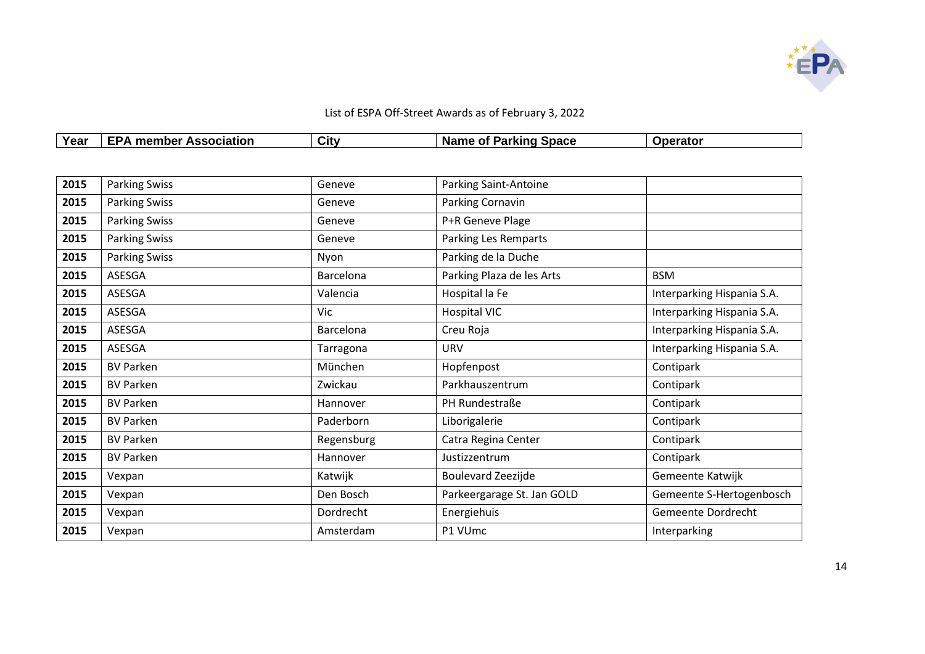

| List of ESPA Off-Street Awards as of February 3, 2022 |                               |      |                       |                 |  |  |
|-------------------------------------------------------|-------------------------------|------|-----------------------|-----------------|--|--|
| Year                                                  | <b>EPA member Association</b> | City | Name of Parking Space | <b>Operator</b> |  |  |

| 2015 | <b>Parking Swiss</b> | Geneve     | <b>Parking Saint-Antoine</b> |                            |
|------|----------------------|------------|------------------------------|----------------------------|
| 2015 | <b>Parking Swiss</b> | Geneve     | Parking Cornavin             |                            |
| 2015 | <b>Parking Swiss</b> | Geneve     | P+R Geneve Plage             |                            |
| 2015 | <b>Parking Swiss</b> | Geneve     | <b>Parking Les Remparts</b>  |                            |
| 2015 | <b>Parking Swiss</b> | Nyon       | Parking de la Duche          |                            |
| 2015 | ASESGA               | Barcelona  | Parking Plaza de les Arts    | <b>BSM</b>                 |
| 2015 | ASESGA               | Valencia   | Hospital la Fe               | Interparking Hispania S.A. |
| 2015 | ASESGA               | Vic        | <b>Hospital VIC</b>          | Interparking Hispania S.A. |
| 2015 | ASESGA               | Barcelona  | Creu Roja                    | Interparking Hispania S.A. |
| 2015 | ASESGA               | Tarragona  | <b>URV</b>                   | Interparking Hispania S.A. |
| 2015 | <b>BV Parken</b>     | München    | Hopfenpost                   | Contipark                  |
| 2015 | <b>BV Parken</b>     | Zwickau    | Parkhauszentrum              | Contipark                  |
| 2015 | <b>BV Parken</b>     | Hannover   | PH Rundestraße               | Contipark                  |
| 2015 | <b>BV Parken</b>     | Paderborn  | Liborigalerie                | Contipark                  |
| 2015 | <b>BV Parken</b>     | Regensburg | Catra Regina Center          | Contipark                  |
| 2015 | <b>BV Parken</b>     | Hannover   | Justizzentrum                | Contipark                  |
| 2015 | Vexpan               | Katwijk    | Boulevard Zeezijde           | Gemeente Katwijk           |
| 2015 | Vexpan               | Den Bosch  | Parkeergarage St. Jan GOLD   | Gemeente S-Hertogenbosch   |
| 2015 | Vexpan               | Dordrecht  | Energiehuis                  | Gemeente Dordrecht         |
| 2015 | Vexpan               | Amsterdam  | P1 VUmc                      | Interparking               |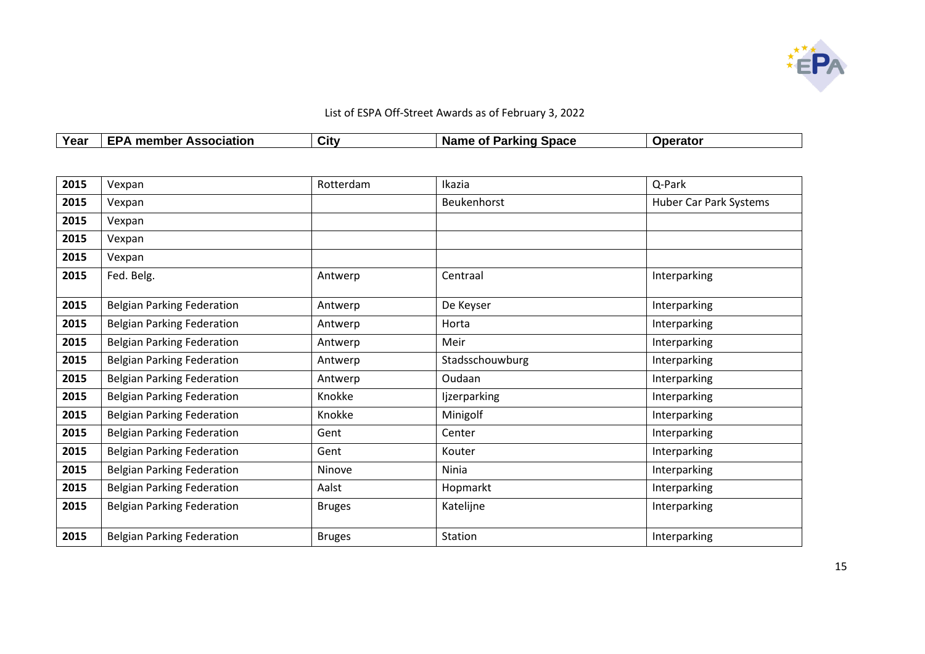

| List of ESPA Off-Street Awards as of February 3, 2022 |                               |      |                              |                 |  |
|-------------------------------------------------------|-------------------------------|------|------------------------------|-----------------|--|
| Year                                                  | <b>EPA member Association</b> | City | <b>Name of Parking Space</b> | <b>Operator</b> |  |

| 2015 | Vexpan                            | Rotterdam     | Ikazia              | Q-Park                 |
|------|-----------------------------------|---------------|---------------------|------------------------|
| 2015 | Vexpan                            |               | Beukenhorst         | Huber Car Park Systems |
| 2015 | Vexpan                            |               |                     |                        |
| 2015 | Vexpan                            |               |                     |                        |
| 2015 | Vexpan                            |               |                     |                        |
| 2015 | Fed. Belg.                        | Antwerp       | Centraal            | Interparking           |
| 2015 | <b>Belgian Parking Federation</b> | Antwerp       | De Keyser           | Interparking           |
| 2015 | <b>Belgian Parking Federation</b> | Antwerp       | Horta               | Interparking           |
| 2015 | <b>Belgian Parking Federation</b> | Antwerp       | Meir                | Interparking           |
| 2015 | <b>Belgian Parking Federation</b> | Antwerp       | Stadsschouwburg     | Interparking           |
| 2015 | <b>Belgian Parking Federation</b> | Antwerp       | Oudaan              | Interparking           |
| 2015 | <b>Belgian Parking Federation</b> | Knokke        | <b>Ijzerparking</b> | Interparking           |
| 2015 | <b>Belgian Parking Federation</b> | Knokke        | Minigolf            | Interparking           |
| 2015 | <b>Belgian Parking Federation</b> | Gent          | Center              | Interparking           |
| 2015 | <b>Belgian Parking Federation</b> | Gent          | Kouter              | Interparking           |
| 2015 | <b>Belgian Parking Federation</b> | Ninove        | Ninia               | Interparking           |
| 2015 | <b>Belgian Parking Federation</b> | Aalst         | Hopmarkt            | Interparking           |
| 2015 | <b>Belgian Parking Federation</b> | <b>Bruges</b> | Katelijne           | Interparking           |
| 2015 | <b>Belgian Parking Federation</b> | <b>Bruges</b> | Station             | Interparking           |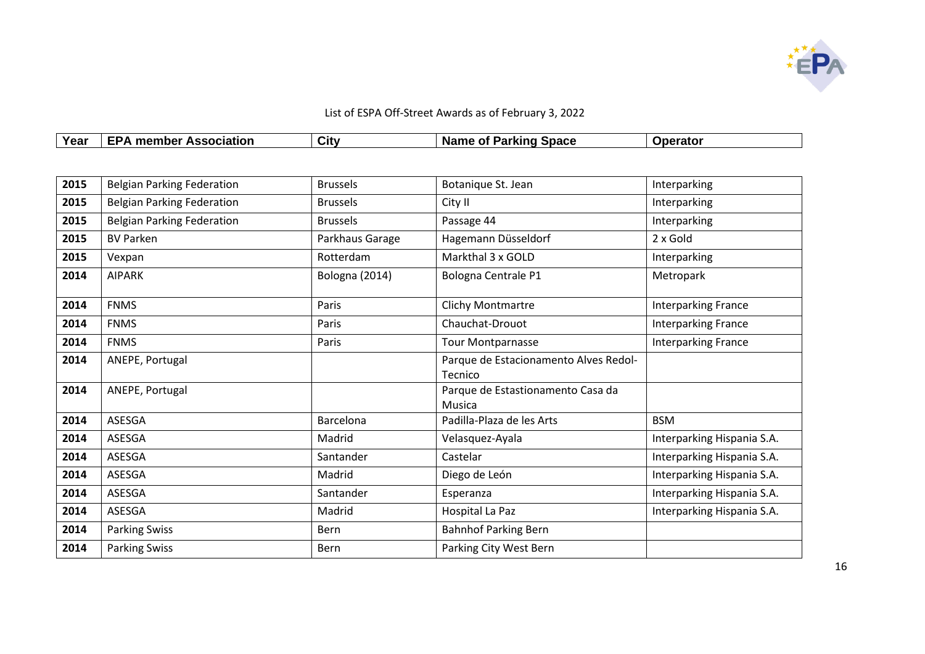

| List of ESPA Off-Street Awards as of February 3, 2022 |                               |      |                              |          |  |
|-------------------------------------------------------|-------------------------------|------|------------------------------|----------|--|
| Year                                                  | <b>EPA member Association</b> | City | <b>Name of Parking Space</b> | Operator |  |

| 2015 | <b>Belgian Parking Federation</b> | <b>Brussels</b> | Botanique St. Jean                               | Interparking               |
|------|-----------------------------------|-----------------|--------------------------------------------------|----------------------------|
| 2015 | <b>Belgian Parking Federation</b> | <b>Brussels</b> | City II                                          | Interparking               |
| 2015 | <b>Belgian Parking Federation</b> | <b>Brussels</b> | Passage 44                                       | Interparking               |
| 2015 | <b>BV Parken</b>                  | Parkhaus Garage | Hagemann Düsseldorf                              | 2 x Gold                   |
| 2015 | Vexpan                            | Rotterdam       | Markthal 3 x GOLD                                | Interparking               |
| 2014 | <b>AIPARK</b>                     | Bologna (2014)  | Bologna Centrale P1                              | Metropark                  |
| 2014 | <b>FNMS</b>                       | Paris           | Clichy Montmartre                                | <b>Interparking France</b> |
| 2014 | <b>FNMS</b>                       | Paris           | Chauchat-Drouot                                  | Interparking France        |
| 2014 | <b>FNMS</b>                       | Paris           | Tour Montparnasse                                | <b>Interparking France</b> |
| 2014 | ANEPE, Portugal                   |                 | Parque de Estacionamento Alves Redol-<br>Tecnico |                            |
| 2014 | ANEPE, Portugal                   |                 | Parque de Estastionamento Casa da<br>Musica      |                            |
| 2014 | ASESGA                            | Barcelona       | Padilla-Plaza de les Arts                        | <b>BSM</b>                 |
| 2014 | ASESGA                            | Madrid          | Velasquez-Ayala                                  | Interparking Hispania S.A. |
| 2014 | ASESGA                            | Santander       | Castelar                                         | Interparking Hispania S.A. |
| 2014 | <b>ASESGA</b>                     | Madrid          | Diego de León                                    | Interparking Hispania S.A. |
| 2014 | ASESGA                            | Santander       | Esperanza                                        | Interparking Hispania S.A. |
| 2014 | ASESGA                            | Madrid          | Hospital La Paz                                  | Interparking Hispania S.A. |
| 2014 | <b>Parking Swiss</b>              | Bern            | <b>Bahnhof Parking Bern</b>                      |                            |
| 2014 | <b>Parking Swiss</b>              | <b>Bern</b>     | Parking City West Bern                           |                            |
|      |                                   |                 |                                                  |                            |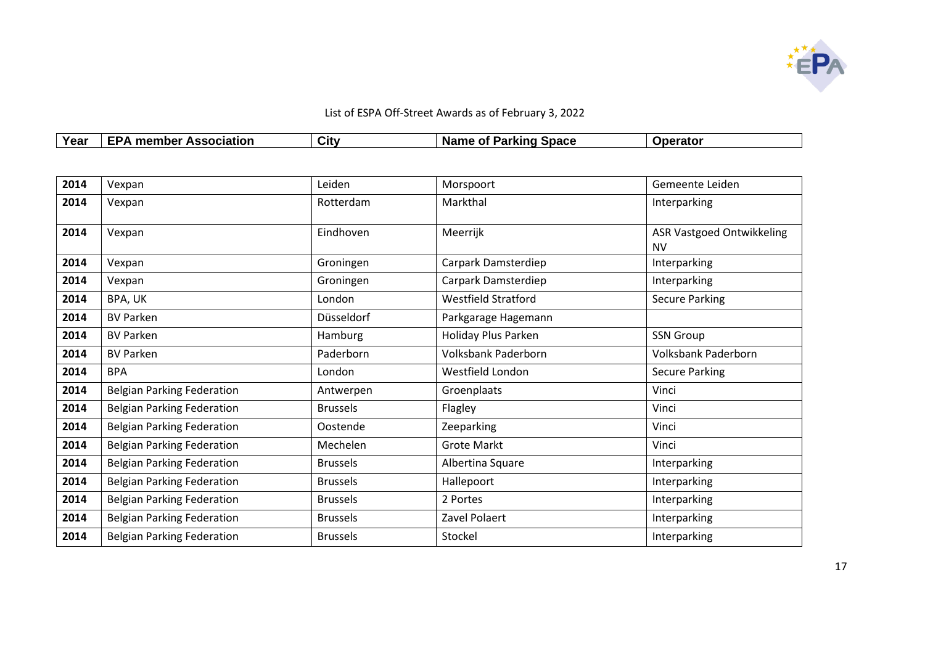

| List of ESPA Off-Street Awards as of February 3, 2022 |                               |      |                              |                 |  |
|-------------------------------------------------------|-------------------------------|------|------------------------------|-----------------|--|
| Year                                                  | <b>EPA member Association</b> | City | <b>Name of Parking Space</b> | <b>Operator</b> |  |

| 2014 | Vexpan                            | Leiden          | Morspoort                  | Gemeente Leiden                               |
|------|-----------------------------------|-----------------|----------------------------|-----------------------------------------------|
| 2014 | Vexpan                            | Rotterdam       | Markthal                   | Interparking                                  |
| 2014 | Vexpan                            | Eindhoven       | Meerrijk                   | <b>ASR Vastgoed Ontwikkeling</b><br><b>NV</b> |
| 2014 | Vexpan                            | Groningen       | Carpark Damsterdiep        | Interparking                                  |
| 2014 | Vexpan                            | Groningen       | Carpark Damsterdiep        | Interparking                                  |
| 2014 | BPA, UK                           | London          | <b>Westfield Stratford</b> | <b>Secure Parking</b>                         |
| 2014 | <b>BV Parken</b>                  | Düsseldorf      | Parkgarage Hagemann        |                                               |
| 2014 | <b>BV Parken</b>                  | Hamburg         | Holiday Plus Parken        | <b>SSN Group</b>                              |
| 2014 | <b>BV Parken</b>                  | Paderborn       | <b>Volksbank Paderborn</b> | Volksbank Paderborn                           |
| 2014 | <b>BPA</b>                        | London          | Westfield London           | <b>Secure Parking</b>                         |
| 2014 | <b>Belgian Parking Federation</b> | Antwerpen       | Groenplaats                | Vinci                                         |
| 2014 | <b>Belgian Parking Federation</b> | <b>Brussels</b> | Flagley                    | Vinci                                         |
| 2014 | <b>Belgian Parking Federation</b> | Oostende        | Zeeparking                 | Vinci                                         |
| 2014 | <b>Belgian Parking Federation</b> | Mechelen        | <b>Grote Markt</b>         | Vinci                                         |
| 2014 | <b>Belgian Parking Federation</b> | <b>Brussels</b> | Albertina Square           | Interparking                                  |
| 2014 | <b>Belgian Parking Federation</b> | <b>Brussels</b> | Hallepoort                 | Interparking                                  |
| 2014 | <b>Belgian Parking Federation</b> | <b>Brussels</b> | 2 Portes                   | Interparking                                  |
| 2014 | <b>Belgian Parking Federation</b> | <b>Brussels</b> | Zavel Polaert              | Interparking                                  |
| 2014 | <b>Belgian Parking Federation</b> | <b>Brussels</b> | Stockel                    | Interparking                                  |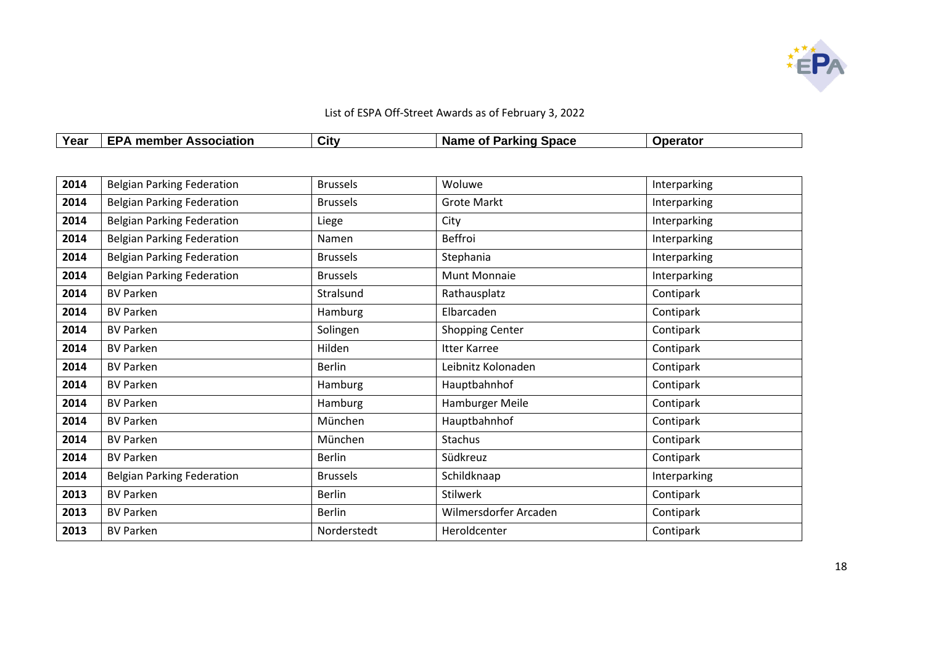

| List of ESPA Off-Street Awards as of February 3, 2022 |                               |      |                              |                 |  |  |
|-------------------------------------------------------|-------------------------------|------|------------------------------|-----------------|--|--|
| Year                                                  | <b>EPA member Association</b> | City | <b>Name of Parking Space</b> | <b>Operator</b> |  |  |

| 2014 | <b>Belgian Parking Federation</b> | <b>Brussels</b> | Woluwe                 | Interparking |
|------|-----------------------------------|-----------------|------------------------|--------------|
| 2014 | <b>Belgian Parking Federation</b> | <b>Brussels</b> | <b>Grote Markt</b>     | Interparking |
| 2014 | <b>Belgian Parking Federation</b> | Liege           | City                   | Interparking |
| 2014 | <b>Belgian Parking Federation</b> | Namen           | Beffroi                | Interparking |
| 2014 | <b>Belgian Parking Federation</b> | <b>Brussels</b> | Stephania              | Interparking |
| 2014 | <b>Belgian Parking Federation</b> | <b>Brussels</b> | <b>Munt Monnaie</b>    | Interparking |
| 2014 | <b>BV Parken</b>                  | Stralsund       | Rathausplatz           | Contipark    |
| 2014 | <b>BV Parken</b>                  | Hamburg         | Elbarcaden             | Contipark    |
| 2014 | <b>BV Parken</b>                  | Solingen        | <b>Shopping Center</b> | Contipark    |
| 2014 | <b>BV Parken</b>                  | Hilden          | <b>Itter Karree</b>    | Contipark    |
| 2014 | <b>BV Parken</b>                  | <b>Berlin</b>   | Leibnitz Kolonaden     | Contipark    |
| 2014 | <b>BV Parken</b>                  | Hamburg         | Hauptbahnhof           | Contipark    |
| 2014 | <b>BV Parken</b>                  | Hamburg         | Hamburger Meile        | Contipark    |
| 2014 | <b>BV Parken</b>                  | München         | Hauptbahnhof           | Contipark    |
| 2014 | <b>BV Parken</b>                  | München         | Stachus                | Contipark    |
| 2014 | <b>BV Parken</b>                  | <b>Berlin</b>   | Südkreuz               | Contipark    |
| 2014 | <b>Belgian Parking Federation</b> | <b>Brussels</b> | Schildknaap            | Interparking |
| 2013 | <b>BV Parken</b>                  | <b>Berlin</b>   | Stilwerk               | Contipark    |
| 2013 | <b>BV Parken</b>                  | <b>Berlin</b>   | Wilmersdorfer Arcaden  | Contipark    |
| 2013 | <b>BV Parken</b>                  | Norderstedt     | Heroldcenter           | Contipark    |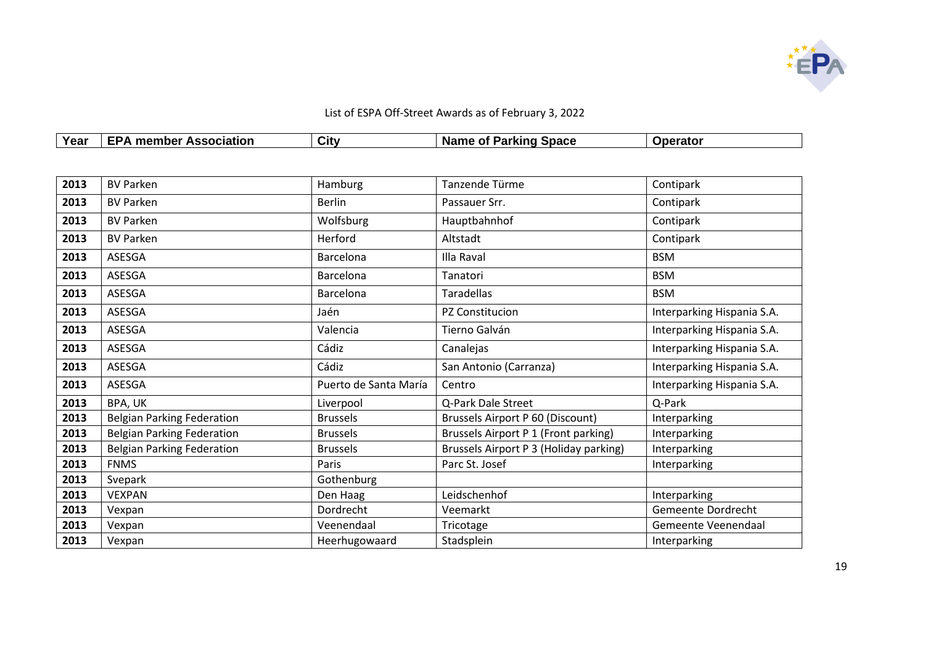

|      | List of ESPA Off-Street Awards as of February 3, 2022 |      |                              |                 |  |  |  |
|------|-------------------------------------------------------|------|------------------------------|-----------------|--|--|--|
| Year | <b>EPA member Association</b>                         | City | <b>Name of Parking Space</b> | <b>Operator</b> |  |  |  |

| 2013 | <b>BV Parken</b>                  | Hamburg               | Tanzende Türme                         | Contipark                  |
|------|-----------------------------------|-----------------------|----------------------------------------|----------------------------|
| 2013 | <b>BV Parken</b>                  | <b>Berlin</b>         | Passauer Srr.                          | Contipark                  |
| 2013 | <b>BV Parken</b>                  | Wolfsburg             | Hauptbahnhof                           | Contipark                  |
| 2013 | <b>BV Parken</b>                  | Herford               | Altstadt                               | Contipark                  |
| 2013 | ASESGA                            | <b>Barcelona</b>      | Illa Raval                             | <b>BSM</b>                 |
| 2013 | ASESGA                            | Barcelona             | Tanatori                               | <b>BSM</b>                 |
| 2013 | ASESGA                            | Barcelona             | Taradellas                             | <b>BSM</b>                 |
| 2013 | ASESGA                            | Jaén                  | PZ Constitucion                        | Interparking Hispania S.A. |
| 2013 | ASESGA                            | Valencia              | Tierno Galván                          | Interparking Hispania S.A. |
| 2013 | ASESGA                            | Cádiz                 | Canalejas                              | Interparking Hispania S.A. |
| 2013 | ASESGA                            | Cádiz                 | San Antonio (Carranza)                 | Interparking Hispania S.A. |
| 2013 | ASESGA                            | Puerto de Santa María | Centro                                 | Interparking Hispania S.A. |
| 2013 | BPA, UK                           | Liverpool             | Q-Park Dale Street                     | Q-Park                     |
| 2013 | <b>Belgian Parking Federation</b> | <b>Brussels</b>       | Brussels Airport P 60 (Discount)       | Interparking               |
| 2013 | <b>Belgian Parking Federation</b> | <b>Brussels</b>       | Brussels Airport P 1 (Front parking)   | Interparking               |
| 2013 | <b>Belgian Parking Federation</b> | <b>Brussels</b>       | Brussels Airport P 3 (Holiday parking) | Interparking               |
| 2013 | <b>FNMS</b>                       | Paris                 | Parc St. Josef                         | Interparking               |
| 2013 | Svepark                           | Gothenburg            |                                        |                            |
| 2013 | <b>VEXPAN</b>                     | Den Haag              | Leidschenhof                           | Interparking               |
| 2013 | Vexpan                            | Dordrecht             | Veemarkt                               | Gemeente Dordrecht         |
| 2013 | Vexpan                            | Veenendaal            | Tricotage                              | Gemeente Veenendaal        |
| 2013 | Vexpan                            | Heerhugowaard         | Stadsplein                             | Interparking               |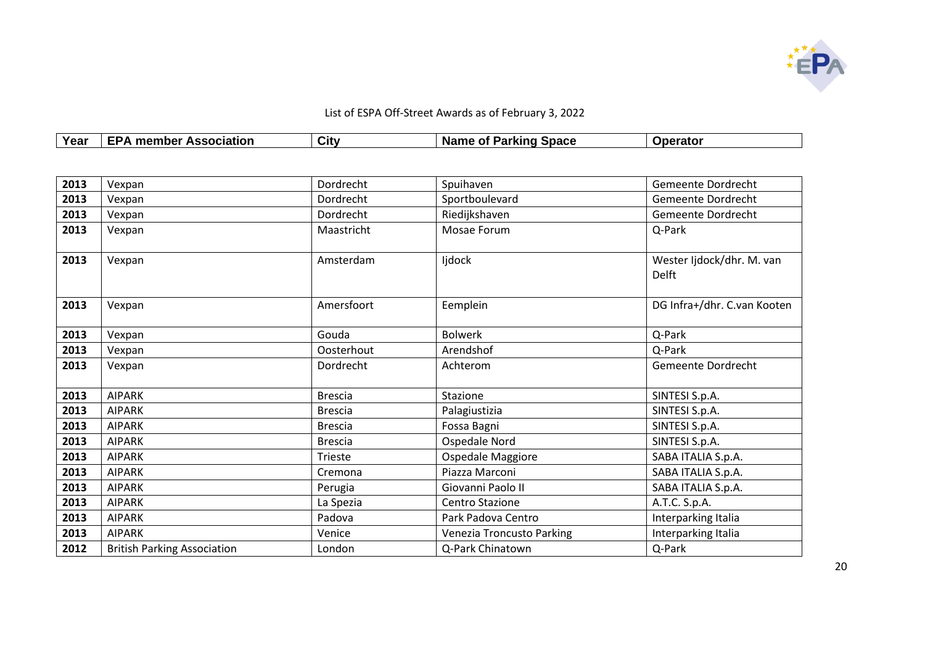

| Year | ociation<br>1DE<br> | $\sim$<br>Citv | Space<br>-Nar<br>.<br>-- | . |
|------|---------------------|----------------|--------------------------|---|

| 2013 | Vexpan                             | Dordrecht      | Spuihaven                 | Gemeente Dordrecht                        |
|------|------------------------------------|----------------|---------------------------|-------------------------------------------|
| 2013 | Vexpan                             | Dordrecht      | Sportboulevard            | Gemeente Dordrecht                        |
| 2013 | Vexpan                             | Dordrecht      | Riedijkshaven             | Gemeente Dordrecht                        |
| 2013 | Vexpan                             | Maastricht     | Mosae Forum               | Q-Park                                    |
| 2013 | Vexpan                             | Amsterdam      | ljdock                    | Wester Ijdock/dhr. M. van<br><b>Delft</b> |
| 2013 | Vexpan                             | Amersfoort     | Eemplein                  | DG Infra+/dhr. C.van Kooten               |
| 2013 | Vexpan                             | Gouda          | <b>Bolwerk</b>            | Q-Park                                    |
| 2013 | Vexpan                             | Oosterhout     | Arendshof                 | Q-Park                                    |
| 2013 | Vexpan                             | Dordrecht      | Achterom                  | Gemeente Dordrecht                        |
| 2013 | <b>AIPARK</b>                      | <b>Brescia</b> | Stazione                  | SINTESI S.p.A.                            |
| 2013 | <b>AIPARK</b>                      | <b>Brescia</b> | Palagiustizia             | SINTESI S.p.A.                            |
| 2013 | <b>AIPARK</b>                      | <b>Brescia</b> | Fossa Bagni               | SINTESI S.p.A.                            |
| 2013 | <b>AIPARK</b>                      | <b>Brescia</b> | Ospedale Nord             | SINTESI S.p.A.                            |
| 2013 | <b>AIPARK</b>                      | Trieste        | Ospedale Maggiore         | SABA ITALIA S.p.A.                        |
| 2013 | <b>AIPARK</b>                      | Cremona        | Piazza Marconi            | SABA ITALIA S.p.A.                        |
| 2013 | <b>AIPARK</b>                      | Perugia        | Giovanni Paolo II         | SABA ITALIA S.p.A.                        |
| 2013 | <b>AIPARK</b>                      | La Spezia      | <b>Centro Stazione</b>    | A.T.C. S.p.A.                             |
| 2013 | <b>AIPARK</b>                      | Padova         | Park Padova Centro        | Interparking Italia                       |
| 2013 | <b>AIPARK</b>                      | Venice         | Venezia Troncusto Parking | Interparking Italia                       |
| 2012 | <b>British Parking Association</b> | London         | Q-Park Chinatown          | Q-Park                                    |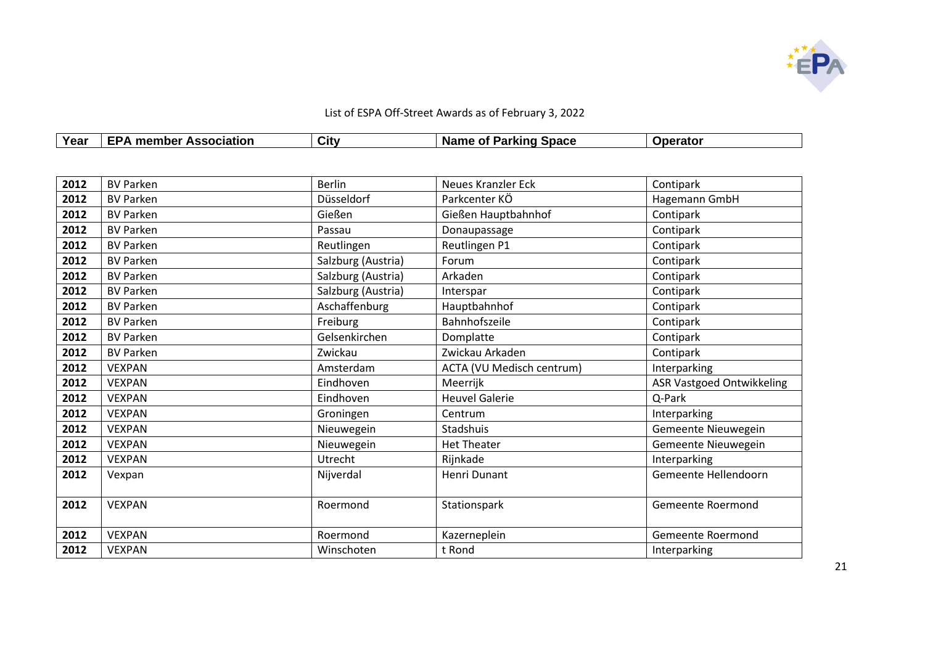

| Year | <b>EPA member Association</b> | Citv | Name of Parking Space | <b>Operator</b> |
|------|-------------------------------|------|-----------------------|-----------------|
|------|-------------------------------|------|-----------------------|-----------------|

| 2012 | <b>BV Parken</b> | <b>Berlin</b>      | <b>Neues Kranzler Eck</b> | Contipark                        |  |
|------|------------------|--------------------|---------------------------|----------------------------------|--|
| 2012 | <b>BV Parken</b> | Düsseldorf         | Parkcenter KÖ             | Hagemann GmbH                    |  |
| 2012 | <b>BV Parken</b> | Gießen             | Gießen Hauptbahnhof       | Contipark                        |  |
| 2012 | <b>BV Parken</b> | Passau             | Donaupassage              | Contipark                        |  |
| 2012 | <b>BV Parken</b> | Reutlingen         | Reutlingen P1             | Contipark                        |  |
| 2012 | <b>BV Parken</b> | Salzburg (Austria) | Forum                     | Contipark                        |  |
| 2012 | <b>BV Parken</b> | Salzburg (Austria) | Arkaden                   | Contipark                        |  |
| 2012 | <b>BV Parken</b> | Salzburg (Austria) | Interspar                 | Contipark                        |  |
| 2012 | <b>BV Parken</b> | Aschaffenburg      | Hauptbahnhof              | Contipark                        |  |
| 2012 | <b>BV Parken</b> | Freiburg           | Bahnhofszeile             | Contipark                        |  |
| 2012 | <b>BV Parken</b> | Gelsenkirchen      | Domplatte                 | Contipark                        |  |
| 2012 | <b>BV Parken</b> | Zwickau            | Zwickau Arkaden           | Contipark                        |  |
| 2012 | <b>VEXPAN</b>    | Amsterdam          | ACTA (VU Medisch centrum) | Interparking                     |  |
| 2012 | <b>VEXPAN</b>    | Eindhoven          | Meerrijk                  | <b>ASR Vastgoed Ontwikkeling</b> |  |
| 2012 | <b>VEXPAN</b>    | Eindhoven          | <b>Heuvel Galerie</b>     | Q-Park                           |  |
| 2012 | <b>VEXPAN</b>    | Groningen          | Centrum                   | Interparking                     |  |
| 2012 | <b>VEXPAN</b>    | Nieuwegein         | Stadshuis                 | Gemeente Nieuwegein              |  |
| 2012 | <b>VEXPAN</b>    | Nieuwegein         | <b>Het Theater</b>        | Gemeente Nieuwegein              |  |
| 2012 | <b>VEXPAN</b>    | Utrecht            | Rijnkade                  | Interparking                     |  |
| 2012 | Vexpan           | Nijverdal          | Henri Dunant              | Gemeente Hellendoorn             |  |
|      |                  |                    |                           |                                  |  |
| 2012 | <b>VEXPAN</b>    | Roermond           | Stationspark              | Gemeente Roermond                |  |
|      |                  |                    |                           |                                  |  |
| 2012 | <b>VEXPAN</b>    | Roermond           | Kazerneplein              | Gemeente Roermond                |  |
| 2012 | <b>VEXPAN</b>    | Winschoten         | t Rond                    | Interparking                     |  |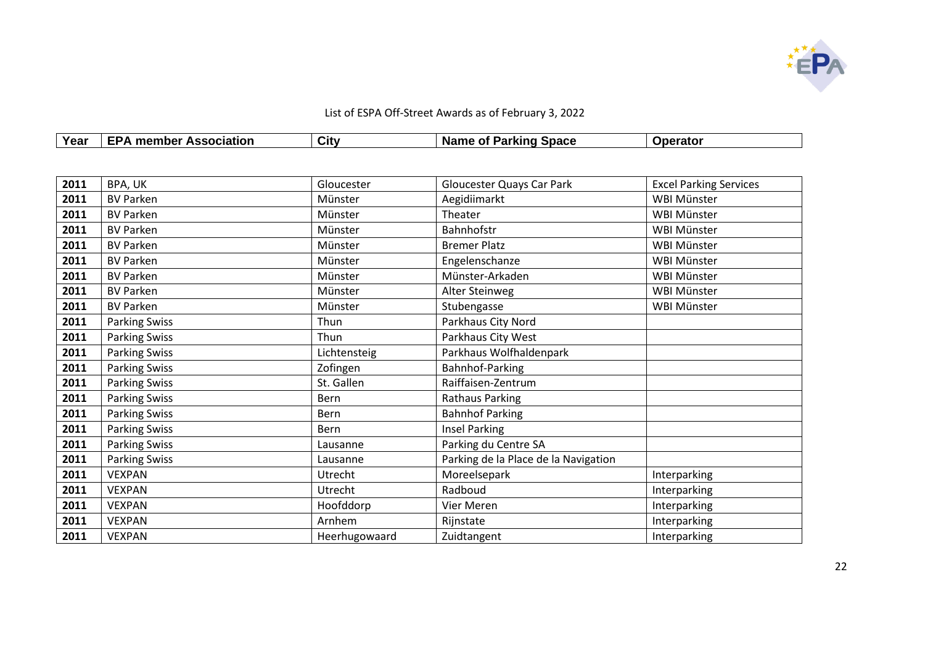

| Year | <b>EPA member Association</b> | Citv | <b>Name of Parking Space</b> | <b>Operator</b> |
|------|-------------------------------|------|------------------------------|-----------------|
|      |                               |      |                              |                 |

| 2011 | BPA, UK              | Gloucester    | Gloucester Quays Car Park            | <b>Excel Parking Services</b> |
|------|----------------------|---------------|--------------------------------------|-------------------------------|
| 2011 | <b>BV Parken</b>     | Münster       | Aegidiimarkt                         | <b>WBI Münster</b>            |
| 2011 | <b>BV Parken</b>     | Münster       | Theater                              | WBI Münster                   |
| 2011 | <b>BV Parken</b>     | Münster       | Bahnhofstr                           | WBI Münster                   |
| 2011 | <b>BV Parken</b>     | Münster       | <b>Bremer Platz</b>                  | WBI Münster                   |
| 2011 | <b>BV Parken</b>     | Münster       | Engelenschanze                       | WBI Münster                   |
| 2011 | <b>BV Parken</b>     | Münster       | Münster-Arkaden                      | WBI Münster                   |
| 2011 | <b>BV Parken</b>     | Münster       | Alter Steinweg                       | WBI Münster                   |
| 2011 | <b>BV Parken</b>     | Münster       | Stubengasse                          | WBI Münster                   |
| 2011 | <b>Parking Swiss</b> | Thun          | Parkhaus City Nord                   |                               |
| 2011 | <b>Parking Swiss</b> | Thun          | Parkhaus City West                   |                               |
| 2011 | <b>Parking Swiss</b> | Lichtensteig  | Parkhaus Wolfhaldenpark              |                               |
| 2011 | <b>Parking Swiss</b> | Zofingen      | Bahnhof-Parking                      |                               |
| 2011 | <b>Parking Swiss</b> | St. Gallen    | Raiffaisen-Zentrum                   |                               |
| 2011 | <b>Parking Swiss</b> | Bern          | <b>Rathaus Parking</b>               |                               |
| 2011 | <b>Parking Swiss</b> | Bern          | <b>Bahnhof Parking</b>               |                               |
| 2011 | <b>Parking Swiss</b> | <b>Bern</b>   | <b>Insel Parking</b>                 |                               |
| 2011 | <b>Parking Swiss</b> | Lausanne      | Parking du Centre SA                 |                               |
| 2011 | <b>Parking Swiss</b> | Lausanne      | Parking de la Place de la Navigation |                               |
| 2011 | <b>VEXPAN</b>        | Utrecht       | Moreelsepark                         | Interparking                  |
| 2011 | <b>VEXPAN</b>        | Utrecht       | Radboud                              | Interparking                  |
| 2011 | <b>VEXPAN</b>        | Hoofddorp     | Vier Meren                           | Interparking                  |
| 2011 | <b>VEXPAN</b>        | Arnhem        | Rijnstate                            | Interparking                  |
| 2011 | <b>VEXPAN</b>        | Heerhugowaard | Zuidtangent                          | Interparking                  |